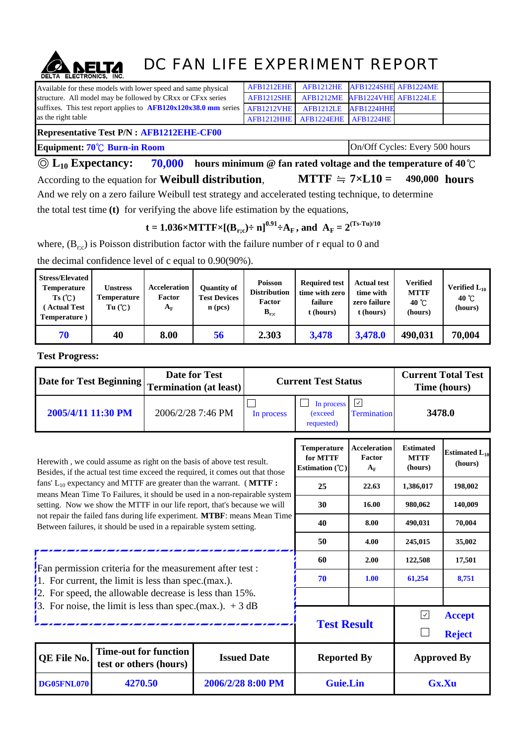## DC FAN LIFE EXPERIMENT REPORT

| Available for these models with lower speed and same physical     | AFB1212EHE |                                 |                                | AFB1212HE AFB1224SHE AFB1224ME |  |  |  |  |  |
|-------------------------------------------------------------------|------------|---------------------------------|--------------------------------|--------------------------------|--|--|--|--|--|
| structure. All model may be followed by CRxx or CFxx series       | AFB1212SHE |                                 | AFB1212ME AFB1224VHE AFB1224LE |                                |  |  |  |  |  |
| suffixes. This test report applies to $AFB120x120x38.0$ mm series | AFB1212VHE |                                 | AFB1212LE AFB1224HHE           |                                |  |  |  |  |  |
| as the right table                                                |            | AFB1212HHE AFB1224EHE AFB1224HE |                                |                                |  |  |  |  |  |
| <b>Representative Test P/N : AFB1212EHE-CF00</b>                  |            |                                 |                                |                                |  |  |  |  |  |
| Equipment: 70°C Burn-in Room                                      |            | On/Off Cycles: Every 500 hours  |                                |                                |  |  |  |  |  |

**70,000 hours minimum @ fan rated voltage and the temperature of 40**℃ According to the equation for **Weibull distribution**, **MTTF**  $\div$  **7**×**L10** = 490,000 **hours** And we rely on a zero failure Weibull test strategy and accelerated testing technique, to determine the total test time **(t)** for verifying the above life estimation by the equations, ◎ **L10 Expectancy: MTTF**  $\div$  7×**L10** =

**t** = 1.036×MTTF×[ $(B_{r;c})$ ÷ n]<sup>0.91</sup>÷A<sub>F</sub>, and  $A_F = 2^{(Ts-Tu)/10}$ 

where,  $(B_{r,c})$  is Poisson distribution factor with the failure number of r equal to 0 and

| <b>Stress/Elevated</b><br><b>Temperature</b><br>Ts(C)<br><b>Actual Test</b><br>Temperature) | Unstress<br><b>Temperature</b><br>Tu(C) | <b>Acceleration</b><br>Factor<br>${\bf A_F}$ | <b>Ouantity of</b><br><b>Test Devices</b><br>$\mathbf{n}$ (pcs) | <b>Poisson</b><br><b>Distribution</b><br>Factor<br>$B_{r,c}$ | <b>Required test</b><br>time with zero<br>failure<br>t (hours) | <b>Actual test</b><br>time with<br>zero failure<br>t (hours) | <b>Verified</b><br><b>MTTF</b><br>40 $\degree$ C<br>(hours) | Verified $L_{10}$<br>40 $\degree$ C<br>(hours) |
|---------------------------------------------------------------------------------------------|-----------------------------------------|----------------------------------------------|-----------------------------------------------------------------|--------------------------------------------------------------|----------------------------------------------------------------|--------------------------------------------------------------|-------------------------------------------------------------|------------------------------------------------|
| 70                                                                                          | 40                                      | 8.00                                         | 56                                                              | 2.303                                                        | 3,478                                                          | 3,478.0                                                      | 490,031                                                     | 70,004                                         |

the decimal confidence level of c equal to 0.90(90%).

**Test Progress:**

|                                                                                                                                                        | <b>Date for Test</b><br><b>Date for Test Beginning</b><br><b>Termination (at least)</b> |                                                       |                                              | <b>Current Test Status</b>                 |                                 | <b>Current Total Test</b><br>Time (hours) |  |  |
|--------------------------------------------------------------------------------------------------------------------------------------------------------|-----------------------------------------------------------------------------------------|-------------------------------------------------------|----------------------------------------------|--------------------------------------------|---------------------------------|-------------------------------------------|--|--|
| 2005/4/11 11:30 PM                                                                                                                                     |                                                                                         | 2006/2/28 7:46 PM                                     | In process                                   | In process<br>(exceed<br>requested)        | $\sqrt{}$<br><b>Termination</b> | 3478.0                                    |  |  |
| Herewith, we could assume as right on the basis of above test result.<br>Besides, if the actual test time exceed the required, it comes out that those |                                                                                         | Temperature<br>for MTTF<br>Estimation $(\mathcal{C})$ | <b>Acceleration</b><br>Factor<br>${\bf A_F}$ | <b>Estimated</b><br><b>MTTF</b><br>(hours) | Estimated $L_{10}$<br>(hours)   |                                           |  |  |
| fans' $L_{10}$ expectancy and MTTF are greater than the warrant. (MTTF:<br>means Mean Time To Failures, it should be used in a non-repairable system   |                                                                                         |                                                       | 25                                           | 22.63                                      | 1,386,017                       | 198,002                                   |  |  |
| setting. Now we show the MTTF in our life report, that's because we will                                                                               |                                                                                         |                                                       | 30                                           | 16.00                                      | 980,062                         | 140,009                                   |  |  |
| not repair the failed fans during life experiment. MTBF: means Mean Time<br>Between failures, it should be used in a repairable system setting.        |                                                                                         |                                                       | 40                                           | 8.00                                       | 490,031                         | 70,004                                    |  |  |
|                                                                                                                                                        |                                                                                         |                                                       | 50                                           | 4.00                                       | 245,015                         | 35,002                                    |  |  |
| Fan permission criteria for the measurement after test :                                                                                               |                                                                                         |                                                       | 60                                           | 2.00                                       | 122,508                         | 17,501                                    |  |  |
| 1. For current, the limit is less than spec.(max.).                                                                                                    |                                                                                         |                                                       | 70                                           | 1.00                                       | 61,254                          | 8,751                                     |  |  |
| 2. For speed, the allowable decrease is less than $15\%$ .                                                                                             |                                                                                         |                                                       |                                              |                                            |                                 |                                           |  |  |
| 3. For noise, the limit is less than spec.(max.). $+3 dB$                                                                                              |                                                                                         | <b>Test Result</b>                                    |                                              | $\boxed{\checkmark}$                       | <b>Accept</b><br><b>Reject</b>  |                                           |  |  |
| QE File No.                                                                                                                                            | <b>Time-out for function</b><br>test or others (hours)                                  |                                                       | <b>Issued Date</b>                           | <b>Reported By</b>                         |                                 | <b>Approved By</b>                        |  |  |
| <b>DG05FNL070</b>                                                                                                                                      | 4270.50                                                                                 |                                                       | 2006/2/28 8:00 PM                            | <b>Guie.Lin</b>                            |                                 | Gx.Xu                                     |  |  |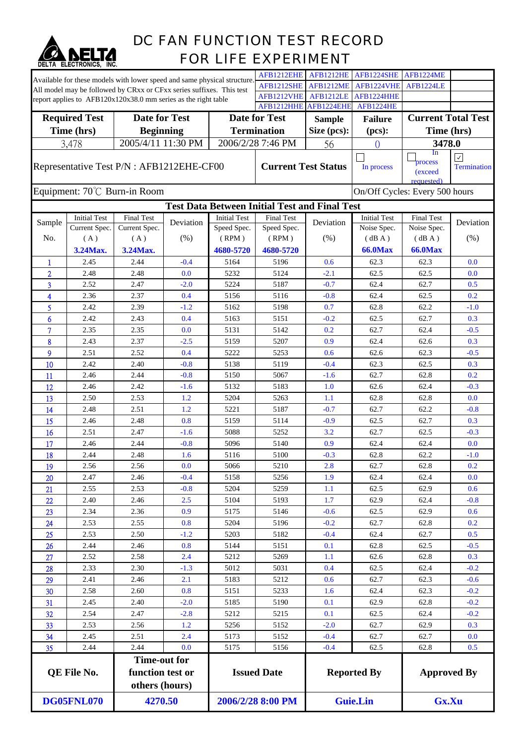

## DC FAN FUNCTION TEST RECORD FOR LIFE EXPERIMENT

|                                                                                                                                        |                                                                          |                                                                          |                  |                      | AFB1212EHE                                           | <b>AFB1212HE</b> | AFB1224SHE                | <b>AFB1224ME</b>                 |                    |
|----------------------------------------------------------------------------------------------------------------------------------------|--------------------------------------------------------------------------|--------------------------------------------------------------------------|------------------|----------------------|------------------------------------------------------|------------------|---------------------------|----------------------------------|--------------------|
|                                                                                                                                        |                                                                          | Available for these models with lower speed and same physical structure. |                  |                      | AFB1212SHE                                           | <b>AFB1212ME</b> | AFB1224VHE                | <b>AFB1224LE</b>                 |                    |
| All model may be followed by CRxx or CFxx series suffixes. This test<br>report applies to AFB120x120x38.0 mm series as the right table |                                                                          |                                                                          | AFB1212VHE       | <b>AFB1212LE</b>     | AFB1224HHE                                           |                  |                           |                                  |                    |
|                                                                                                                                        |                                                                          |                                                                          |                  |                      | AFB1212HHE                                           | AFB1224EHE       | <b>AFB1224HE</b>          |                                  |                    |
| <b>Date for Test</b><br><b>Required Test</b>                                                                                           |                                                                          |                                                                          |                  | <b>Date for Test</b> | <b>Sample</b>                                        | <b>Failure</b>   | <b>Current Total Test</b> |                                  |                    |
| Time (hrs)                                                                                                                             |                                                                          |                                                                          | <b>Beginning</b> |                      | <b>Termination</b>                                   | Size (pcs):      | (pcs):                    | Time (hrs)                       |                    |
|                                                                                                                                        | 3,478                                                                    | 2005/4/11 11:30 PM                                                       |                  |                      | 2006/2/28 7:46 PM                                    | 56               | $\Omega$                  | 3478.0                           |                    |
|                                                                                                                                        |                                                                          |                                                                          |                  |                      |                                                      |                  |                           | In                               | $\checkmark$       |
| Representative Test P/N : AFB1212EHE-CF00                                                                                              |                                                                          |                                                                          |                  |                      | <b>Current Test Status</b>                           |                  | In process                | process<br>(exceed<br>requested) | <b>Termination</b> |
|                                                                                                                                        |                                                                          | Equipment: 70°C Burn-in Room                                             |                  |                      |                                                      |                  |                           | On/Off Cycles: Every 500 hours   |                    |
|                                                                                                                                        |                                                                          |                                                                          |                  |                      | <b>Test Data Between Initial Test and Final Test</b> |                  |                           |                                  |                    |
|                                                                                                                                        | <b>Initial Test</b>                                                      | <b>Final Test</b>                                                        |                  | <b>Initial Test</b>  | <b>Final Test</b>                                    |                  | <b>Initial Test</b>       | <b>Final Test</b>                |                    |
| Sample                                                                                                                                 | Current Spec.                                                            | Current Spec.                                                            | Deviation        | Speed Spec.          | Speed Spec.                                          | Deviation        | Noise Spec.               | Noise Spec.                      | Deviation          |
| No.                                                                                                                                    | (A)                                                                      | (A)                                                                      | (% )             | (RPM)                | (RPM)                                                | (% )             | (dBA)                     | (dB A)                           | (% )               |
|                                                                                                                                        | 3.24Max.                                                                 | 3.24Max.                                                                 |                  | 4680-5720            | 4680-5720                                            |                  | <b>66.0Max</b>            | <b>66.0Max</b>                   |                    |
| 1                                                                                                                                      | 2.45                                                                     | 2.44                                                                     | $-0.4$           | 5164                 | 5196                                                 | 0.6              | 62.3                      | 62.3                             | 0.0                |
| $\overline{2}$                                                                                                                         | 2.48                                                                     | 2.48                                                                     | 0.0              | 5232                 | 5124                                                 | $-2.1$           | 62.5                      | 62.5                             | 0.0                |
| 3                                                                                                                                      | 2.52                                                                     | 2.47                                                                     | $-2.0$           | 5224                 | 5187                                                 | $-0.7$           | 62.4                      | 62.7                             | 0.5                |
| 4                                                                                                                                      | 2.36                                                                     | 2.37                                                                     | 0.4              | 5156                 | 5116                                                 | $-0.8$           | 62.4                      | 62.5                             | 0.2                |
| 5                                                                                                                                      | 2.42                                                                     | 2.39                                                                     | $-1.2$           | 5162                 | 5198                                                 | 0.7              | 62.8                      | 62.2                             | $-1.0$             |
| 6                                                                                                                                      | 2.42                                                                     | 2.43                                                                     | 0.4              | 5163                 | 5151                                                 | $-0.2$           | 62.5                      | 62.7                             | 0.3                |
| $\overline{7}$                                                                                                                         | 2.35                                                                     | 2.35                                                                     | 0.0              | 5131                 | 5142                                                 | 0.2              | 62.7                      | 62.4                             | $-0.5$             |
| 8                                                                                                                                      | 2.43                                                                     | 2.37                                                                     | $-2.5$           | 5159                 | 5207                                                 | 0.9              | 62.4                      | 62.6                             | 0.3                |
| 9                                                                                                                                      | 2.51                                                                     | 2.52                                                                     | 0.4              | 5222                 | 5253                                                 | 0.6              | 62.6                      | 62.3                             | $-0.5$             |
| 10                                                                                                                                     | 2.42                                                                     | 2.40                                                                     | $-0.8$           | 5138                 | 5119                                                 | $-0.4$           | 62.3                      | 62.5                             | 0.3                |
| 11                                                                                                                                     | 2.46                                                                     | 2.44                                                                     | $-0.8$           | 5150                 | 5067                                                 | $-1.6$           | 62.7                      | 62.8                             | 0.2                |
| 12                                                                                                                                     | 2.46                                                                     | 2.42                                                                     | $-1.6$           | 5132                 | 5183                                                 | 1.0              | 62.6                      | 62.4                             | $-0.3$             |
| 13                                                                                                                                     | 2.50                                                                     | 2.53                                                                     | 1.2              | 5204                 | 5263                                                 | 1.1              | 62.8                      | 62.8                             | 0.0                |
| 14                                                                                                                                     | 2.48                                                                     | 2.51                                                                     | 1.2              | 5221                 | 5187                                                 | $-0.7$           | 62.7                      | 62.2                             | $-0.8$             |
| 15                                                                                                                                     | 2.46                                                                     | 2.48                                                                     | 0.8              | 5159                 | 5114                                                 | $-0.9$           | 62.5                      | 62.7                             | 0.3                |
| 16                                                                                                                                     | 2.51                                                                     | 2.47                                                                     | $-1.6$           | 5088                 | 5252                                                 | 3.2              | 62.7                      | 62.5                             | $-0.3$             |
| 17                                                                                                                                     | 2.46                                                                     | 2.44                                                                     | $-0.8$           | 5096                 | 5140                                                 | 0.9              | 62.4                      | 62.4                             | 0.0                |
| 18                                                                                                                                     | 2.44                                                                     | 2.48                                                                     | 1.6              | 5116                 | 5100                                                 | $-0.3$           | 62.8                      | 62.2                             | $-1.0$             |
| 19                                                                                                                                     | 2.56                                                                     | 2.56                                                                     | 0.0              | 5066                 | 5210                                                 | 2.8              | 62.7                      | 62.8                             | 0.2                |
| 20                                                                                                                                     | 2.47                                                                     | 2.46                                                                     | $-0.4$           | 5158                 | 5256                                                 | 1.9              | 62.4                      | 62.4                             | 0.0                |
| 21                                                                                                                                     | 2.55                                                                     | 2.53                                                                     | $-0.8$           | 5204                 | 5259                                                 | 1.1              | 62.5                      | 62.9                             | 0.6                |
| 22                                                                                                                                     | 2.40                                                                     | 2.46                                                                     | 2.5              | 5104                 | 5193                                                 | 1.7              | 62.9                      | 62.4                             | $-0.8$             |
| 23                                                                                                                                     | 2.34                                                                     | 2.36                                                                     | 0.9              | 5175                 | 5146                                                 | $-0.6$           | 62.5                      | 62.9                             | 0.6                |
| 24                                                                                                                                     | 2.53                                                                     | 2.55                                                                     | 0.8              | 5204                 | 5196                                                 | $-0.2$           | 62.7                      | 62.8                             | 0.2                |
|                                                                                                                                        | 2.53                                                                     | 2.50                                                                     | $-1.2$           | 5203                 | 5182                                                 | $-0.4$           | 62.4                      | 62.7                             | 0.5                |
| 25                                                                                                                                     | 2.44                                                                     | 2.46                                                                     | 0.8              | 5144                 | 5151                                                 | 0.1              | 62.8                      | 62.5                             | $-0.5$             |
| 26                                                                                                                                     | 2.52                                                                     | 2.58                                                                     |                  | 5212                 |                                                      |                  |                           | 62.8                             |                    |
| 27                                                                                                                                     |                                                                          |                                                                          | 2.4              |                      | 5269                                                 | 1.1              | 62.6                      |                                  | 0.3                |
| 28                                                                                                                                     | 2.33                                                                     | 2.30                                                                     | $-1.3$           | 5012                 | 5031                                                 | 0.4              | 62.5                      | 62.4                             | $-0.2$             |
| 29                                                                                                                                     | 2.41                                                                     | 2.46                                                                     | 2.1              | 5183                 | 5212                                                 | 0.6              | 62.7                      | 62.3                             | $-0.6$             |
| 30                                                                                                                                     | 2.58                                                                     | 2.60                                                                     | 0.8              | 5151                 | 5233                                                 | 1.6              | 62.4                      | 62.3                             | $-0.2$             |
| 31                                                                                                                                     | 2.45                                                                     | 2.40                                                                     | $-2.0$           | 5185                 | 5190                                                 | 0.1              | 62.9                      | 62.8                             | $-0.2$             |
| 32                                                                                                                                     | 2.54                                                                     | 2.47                                                                     | $-2.8$           | 5212                 | 5215                                                 | 0.1              | 62.5                      | 62.4                             | $-0.2$             |
| 33                                                                                                                                     | 2.53                                                                     | 2.56                                                                     | 1.2              | 5256                 | 5152                                                 | $-2.0$           | 62.7                      | 62.9                             | 0.3                |
| 34                                                                                                                                     | 2.45                                                                     | 2.51                                                                     | 2.4              | 5173                 | 5152                                                 | $-0.4$           | 62.7                      | 62.7                             | 0.0                |
| 35                                                                                                                                     | 2.44                                                                     | 2.44                                                                     | 0.0              | 5175                 | 5156                                                 | $-0.4$           | 62.5                      | 62.8                             | 0.5                |
|                                                                                                                                        | <b>Time-out for</b><br>QE File No.<br>function test or<br>others (hours) |                                                                          |                  | <b>Issued Date</b>   |                                                      |                  | <b>Reported By</b>        | <b>Approved By</b>               |                    |
| <b>DG05FNL070</b>                                                                                                                      |                                                                          | 4270.50                                                                  |                  | 2006/2/28 8:00 PM    |                                                      | <b>Guie.Lin</b>  |                           | Gx.Xu                            |                    |